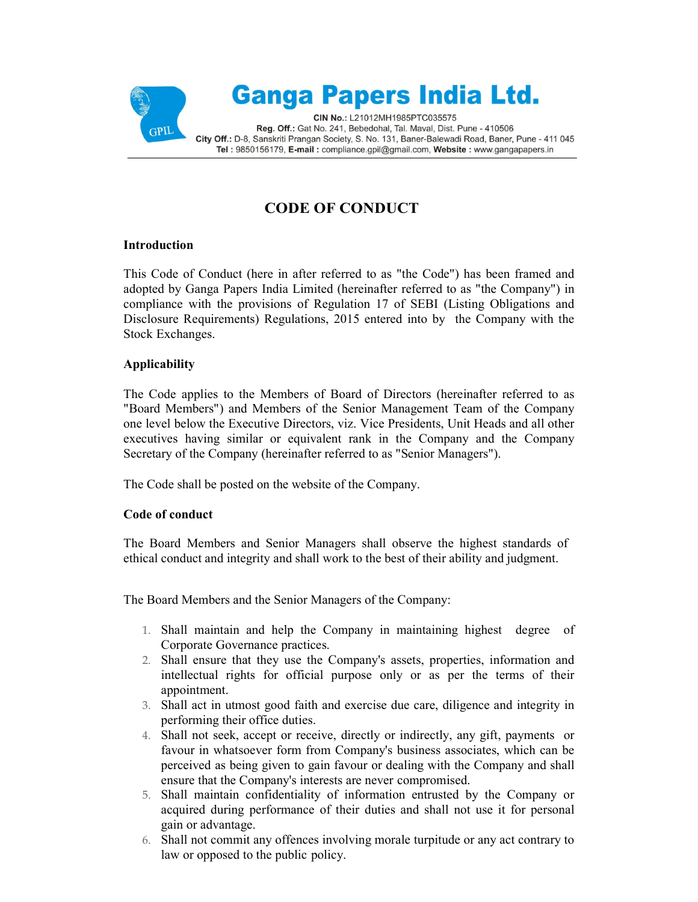

## **CODE OF CONDUCT**

## **Introduction**

This Code of Conduct (here in after referred to as "the Code") has been framed and adopted by Ganga Papers India Limited (hereinafter referred to as "the Company") in compliance with the provisions of Regulation 17 of SEBI (Listing Obligations and Disclosure Requirements) Regulations, 2015 entered into by the Company with the Stock Exchanges.

## **Applicability**

The Code applies to the Members of Board of Directors (hereinafter referred to as "Board Members") and Members of the Senior Management Team of the Company one level below the Executive Directors, viz. Vice Presidents, Unit Heads and all other executives having similar or equivalent rank in the Company and the Company Secretary of the Company (hereinafter referred to as "Senior Managers").

The Code shall be posted on the website of the Company.

## **Code of conduct**

The Board Members and Senior Managers shall observe the highest standards of ethical conduct and integrity and shall work to the best of their ability and judgment.

The Board Members and the Senior Managers of the Company:

- 1. Shall maintain and help the Company in maintaining highest degree of Corporate Governance practices.
- 2. Shall ensure that they use the Company's assets, properties, information and intellectual rights for official purpose only or as per the terms of their appointment.
- 3. Shall act in utmost good faith and exercise due care, diligence and integrity in performing their office duties.
- 4. Shall not seek, accept or receive, directly or indirectly, any gift, payments or favour in whatsoever form from Company's business associates, which can be perceived as being given to gain favour or dealing with the Company and shall ensure that the Company's interests are never compromised.
- 5. Shall maintain confidentiality of information entrusted by the Company or acquired during performance of their duties and shall not use it for personal gain or advantage.
- 6. Shall not commit any offences involving morale turpitude or any act contrary to law or opposed to the public policy.